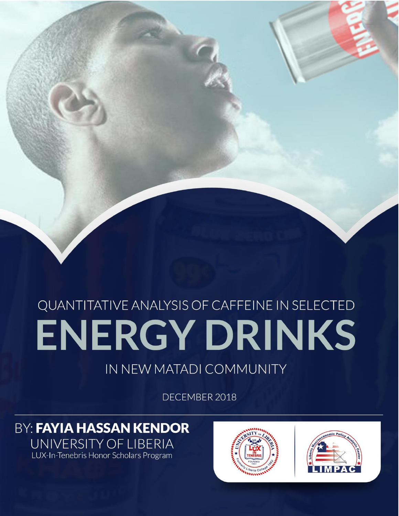# QUANTITATIVE ANALYSIS OF CAFFEINE IN SELECTED IN PRIJY I JRINKS OF BACKER OF SCIENCE (B.S.)

**University of Liberia**

**Department of Chemistry**

**Fendell Campus**

QUANTITATIVE ANALYSIS OF CAFFEINE IN SELECTED AND A SELECTED AND A SELECTED AND A SELECTED AND A SELECTED AND

ENERGY DRINKS IN NEW MATADI COMMUNITY

SUMMITED BY: FAXIA HASSAN KENDOR ID# 76201

## IN NEW MATADI COMMUNITY

DECEMBER 2018

**BY: FAYIA HASSAN KENDOR** UNIVERSITY OF LIBERIA LUX-In-Tenebris Honor Scholars Program



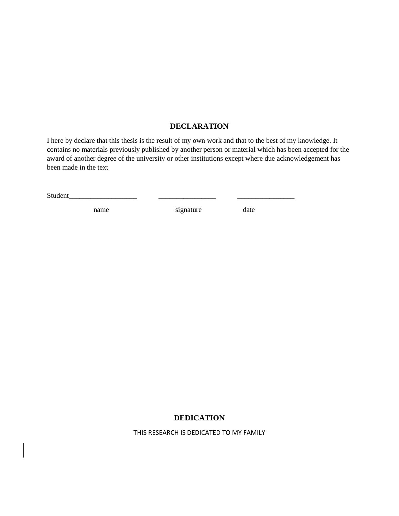#### **DECLARATION**

I here by declare that this thesis is the result of my own work and that to the best of my knowledge. It contains no materials previously published by another person or material which has been accepted for the award of another degree of the university or other institutions except where due acknowledgement has been made in the text

| Student |  |  |
|---------|--|--|
|         |  |  |

name signature date

#### **DEDICATION**

THIS RESEARCH IS DEDICATED TO MY FAMILY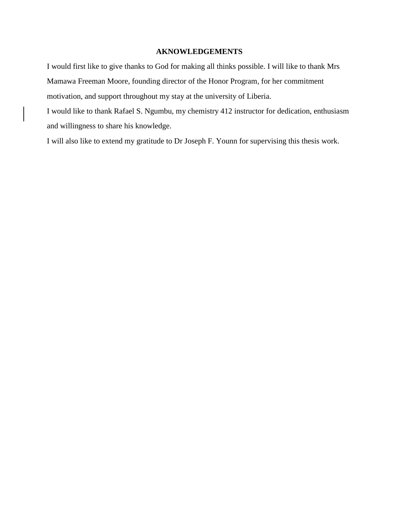#### **AKNOWLEDGEMENTS**

I would first like to give thanks to God for making all thinks possible. I will like to thank Mrs Mamawa Freeman Moore, founding director of the Honor Program, for her commitment motivation, and support throughout my stay at the university of Liberia.

I would like to thank Rafael S. Ngumbu, my chemistry 412 instructor for dedication, enthusiasm and willingness to share his knowledge.

I will also like to extend my gratitude to Dr Joseph F. Younn for supervising this thesis work.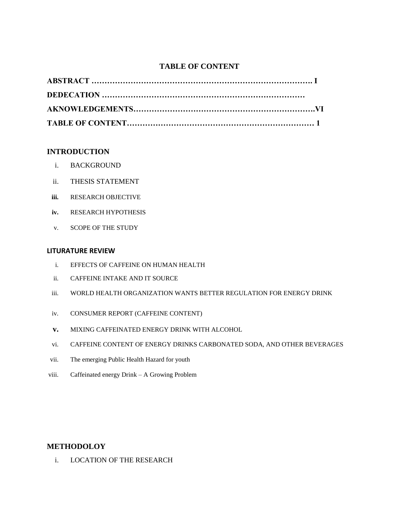#### **TABLE OF CONTENT**

#### **INTRODUCTION**

- i. BACKGROUND
- ii. THESIS STATEMENT
- **iii.** RESEARCH OBJECTIVE
- **iv.** RESEARCH HYPOTHESIS
- v. SCOPE OF THE STUDY

#### **LITURATURE REVIEW**

- i. EFFECTS OF CAFFEINE ON HUMAN HEALTH
- ii. CAFFEINE INTAKE AND IT SOURCE
- iii. WORLD HEALTH ORGANIZATION WANTS BETTER REGULATION FOR ENERGY DRINK
- iv. CONSUMER REPORT (CAFFEINE CONTENT)
- **v.** MIXING CAFFEINATED ENERGY DRINK WITH ALCOHOL
- vi. CAFFEINE CONTENT OF ENERGY DRINKS CARBONATED SODA, AND OTHER BEVERAGES
- vii. The emerging Public Health Hazard for youth
- viii. Caffeinated energy Drink A Growing Problem

#### **METHODOLOY**

i. LOCATION OF THE RESEARCH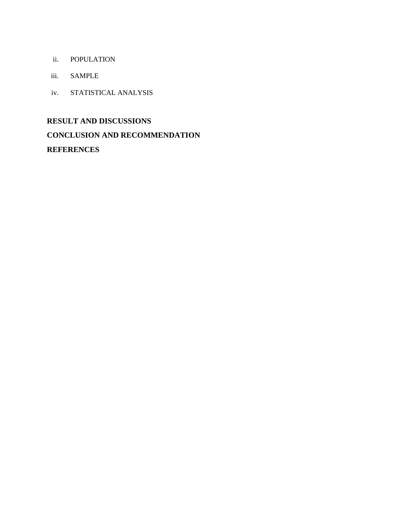- ii. POPULATION
- iii. SAMPLE
- iv. STATISTICAL ANALYSIS

#### **RESULT AND DISCUSSIONS**

## **CONCLUSION AND RECOMMENDATION**

### **REFERENCES**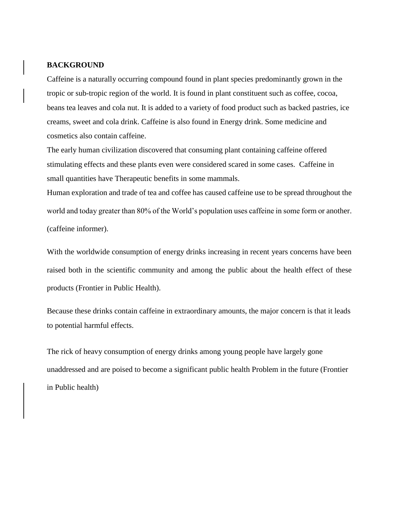#### **BACKGROUND**

Caffeine is a naturally occurring compound found in plant species predominantly grown in the tropic or sub-tropic region of the world. It is found in plant constituent such as coffee, cocoa, beans tea leaves and cola nut. It is added to a variety of food product such as backed pastries, ice creams, sweet and cola drink. Caffeine is also found in Energy drink. Some medicine and cosmetics also contain caffeine.

The early human civilization discovered that consuming plant containing caffeine offered stimulating effects and these plants even were considered scared in some cases. Caffeine in small quantities have Therapeutic benefits in some mammals.

Human exploration and trade of tea and coffee has caused caffeine use to be spread throughout the world and today greater than 80% of the World's population uses caffeine in some form or another. (caffeine informer).

With the worldwide consumption of energy drinks increasing in recent years concerns have been raised both in the scientific community and among the public about the health effect of these products (Frontier in Public Health).

Because these drinks contain caffeine in extraordinary amounts, the major concern is that it leads to potential harmful effects.

The rick of heavy consumption of energy drinks among young people have largely gone unaddressed and are poised to become a significant public health Problem in the future (Frontier in Public health)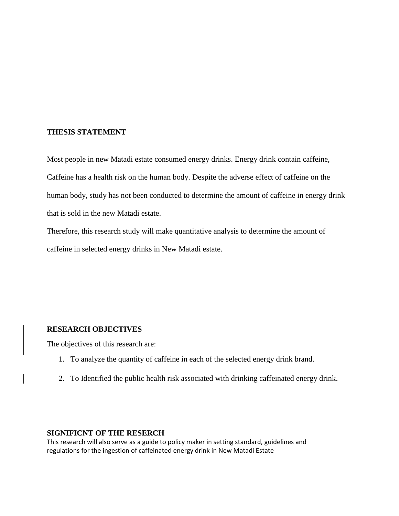#### **THESIS STATEMENT**

Most people in new Matadi estate consumed energy drinks. Energy drink contain caffeine, Caffeine has a health risk on the human body. Despite the adverse effect of caffeine on the human body, study has not been conducted to determine the amount of caffeine in energy drink that is sold in the new Matadi estate.

Therefore, this research study will make quantitative analysis to determine the amount of caffeine in selected energy drinks in New Matadi estate.

#### **RESEARCH OBJECTIVES**

The objectives of this research are:

- 1. To analyze the quantity of caffeine in each of the selected energy drink brand.
- 2. To Identified the public health risk associated with drinking caffeinated energy drink.

#### **SIGNIFICNT OF THE RESERCH**

This research will also serve as a guide to policy maker in setting standard, guidelines and regulations for the ingestion of caffeinated energy drink in New Matadi Estate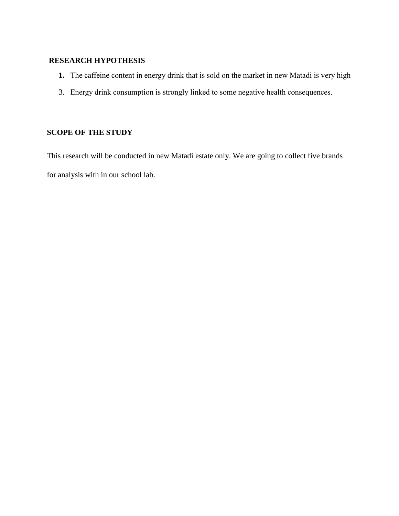### **RESEARCH HYPOTHESIS**

- **1.** The caffeine content in energy drink that is sold on the market in new Matadi is very high
- 3. Energy drink consumption is strongly linked to some negative health consequences.

#### **SCOPE OF THE STUDY**

This research will be conducted in new Matadi estate only. We are going to collect five brands for analysis with in our school lab.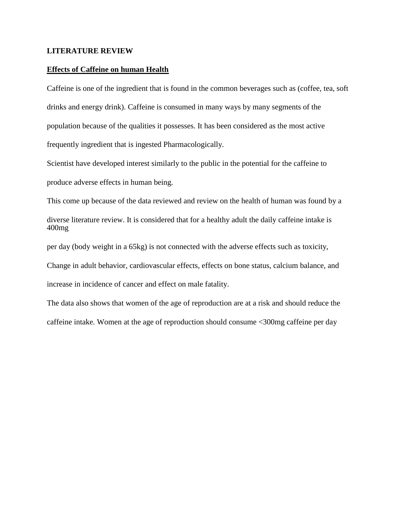#### **LITERATURE REVIEW**

#### **Effects of Caffeine on human Health**

Caffeine is one of the ingredient that is found in the common beverages such as (coffee, tea, soft drinks and energy drink). Caffeine is consumed in many ways by many segments of the population because of the qualities it possesses. It has been considered as the most active frequently ingredient that is ingested Pharmacologically.

Scientist have developed interest similarly to the public in the potential for the caffeine to

produce adverse effects in human being.

This come up because of the data reviewed and review on the health of human was found by a

diverse literature review. It is considered that for a healthy adult the daily caffeine intake is 400mg

per day (body weight in a 65kg) is not connected with the adverse effects such as toxicity,

Change in adult behavior, cardiovascular effects, effects on bone status, calcium balance, and

increase in incidence of cancer and effect on male fatality.

The data also shows that women of the age of reproduction are at a risk and should reduce the caffeine intake. Women at the age of reproduction should consume <300mg caffeine per day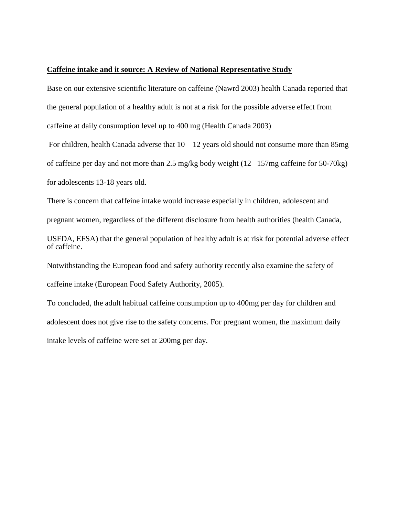#### **Caffeine intake and it source: A Review of National Representative Study**

Base on our extensive scientific literature on caffeine (Nawrd 2003) health Canada reported that the general population of a healthy adult is not at a risk for the possible adverse effect from caffeine at daily consumption level up to 400 mg (Health Canada 2003)

For children, health Canada adverse that  $10 - 12$  years old should not consume more than 85mg of caffeine per day and not more than 2.5 mg/kg body weight (12 –157mg caffeine for 50-70kg) for adolescents 13-18 years old.

There is concern that caffeine intake would increase especially in children, adolescent and

pregnant women, regardless of the different disclosure from health authorities (health Canada,

USFDA, EFSA) that the general population of healthy adult is at risk for potential adverse effect of caffeine.

Notwithstanding the European food and safety authority recently also examine the safety of caffeine intake (European Food Safety Authority, 2005).

To concluded, the adult habitual caffeine consumption up to 400mg per day for children and adolescent does not give rise to the safety concerns. For pregnant women, the maximum daily intake levels of caffeine were set at 200mg per day.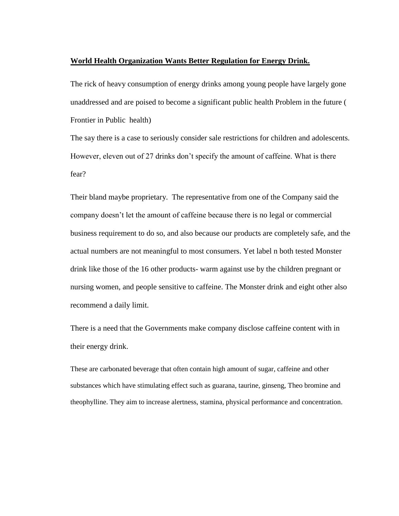#### **World Health Organization Wants Better Regulation for Energy Drink.**

The rick of heavy consumption of energy drinks among young people have largely gone unaddressed and are poised to become a significant public health Problem in the future ( Frontier in Public health)

The say there is a case to seriously consider sale restrictions for children and adolescents. However, eleven out of 27 drinks don't specify the amount of caffeine. What is there fear?

Their bland maybe proprietary. The representative from one of the Company said the company doesn't let the amount of caffeine because there is no legal or commercial business requirement to do so, and also because our products are completely safe, and the actual numbers are not meaningful to most consumers. Yet label n both tested Monster drink like those of the 16 other products- warm against use by the children pregnant or nursing women, and people sensitive to caffeine. The Monster drink and eight other also recommend a daily limit.

There is a need that the Governments make company disclose caffeine content with in their energy drink.

These are carbonated beverage that often contain high amount of sugar, caffeine and other substances which have stimulating effect such as guarana, taurine, ginseng, Theo bromine and theophylline. They aim to increase alertness, stamina, physical performance and concentration.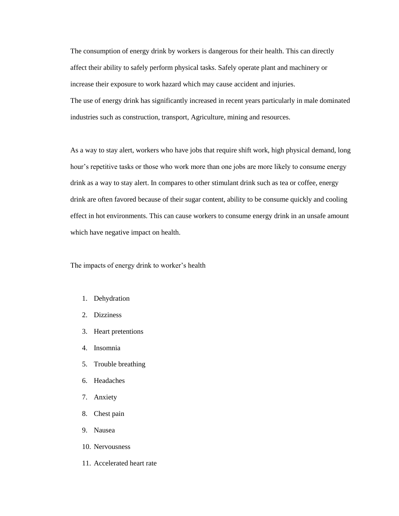The consumption of energy drink by workers is dangerous for their health. This can directly affect their ability to safely perform physical tasks. Safely operate plant and machinery or increase their exposure to work hazard which may cause accident and injuries. The use of energy drink has significantly increased in recent years particularly in male dominated industries such as construction, transport, Agriculture, mining and resources.

As a way to stay alert, workers who have jobs that require shift work, high physical demand, long hour's repetitive tasks or those who work more than one jobs are more likely to consume energy drink as a way to stay alert. In compares to other stimulant drink such as tea or coffee, energy drink are often favored because of their sugar content, ability to be consume quickly and cooling effect in hot environments. This can cause workers to consume energy drink in an unsafe amount which have negative impact on health.

The impacts of energy drink to worker's health

- 1. Dehydration
- 2. Dizziness
- 3. Heart pretentions
- 4. Insomnia
- 5. Trouble breathing
- 6. Headaches
- 7. Anxiety
- 8. Chest pain
- 9. Nausea
- 10. Nervousness
- 11. Accelerated heart rate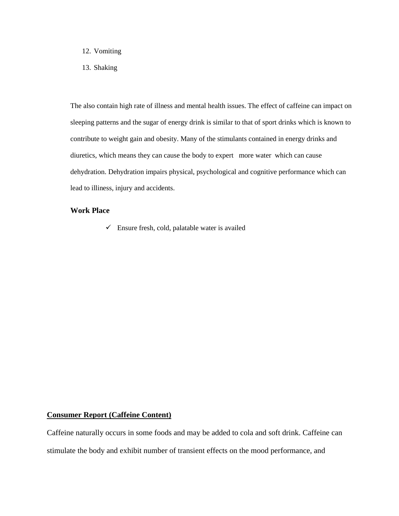- 12. Vomiting
- 13. Shaking

The also contain high rate of illness and mental health issues. The effect of caffeine can impact on sleeping patterns and the sugar of energy drink is similar to that of sport drinks which is known to contribute to weight gain and obesity. Many of the stimulants contained in energy drinks and diuretics, which means they can cause the body to expert more water which can cause dehydration. Dehydration impairs physical, psychological and cognitive performance which can lead to illiness, injury and accidents.

#### **Work Place**

 $\checkmark$  Ensure fresh, cold, palatable water is availed

#### **Consumer Report (Caffeine Content)**

Caffeine naturally occurs in some foods and may be added to cola and soft drink. Caffeine can stimulate the body and exhibit number of transient effects on the mood performance, and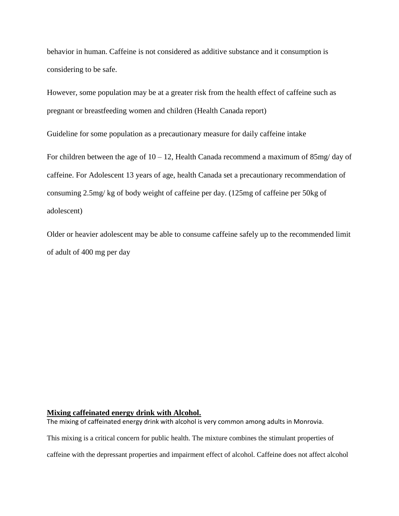behavior in human. Caffeine is not considered as additive substance and it consumption is considering to be safe.

However, some population may be at a greater risk from the health effect of caffeine such as pregnant or breastfeeding women and children (Health Canada report)

Guideline for some population as a precautionary measure for daily caffeine intake

For children between the age of  $10 - 12$ , Health Canada recommend a maximum of 85mg/day of caffeine. For Adolescent 13 years of age, health Canada set a precautionary recommendation of consuming 2.5mg/ kg of body weight of caffeine per day. (125mg of caffeine per 50kg of adolescent)

Older or heavier adolescent may be able to consume caffeine safely up to the recommended limit of adult of 400 mg per day

#### **Mixing caffeinated energy drink with Alcohol.**

The mixing of caffeinated energy drink with alcohol is very common among adults in Monrovia.

This mixing is a critical concern for public health. The mixture combines the stimulant properties of

caffeine with the depressant properties and impairment effect of alcohol. Caffeine does not affect alcohol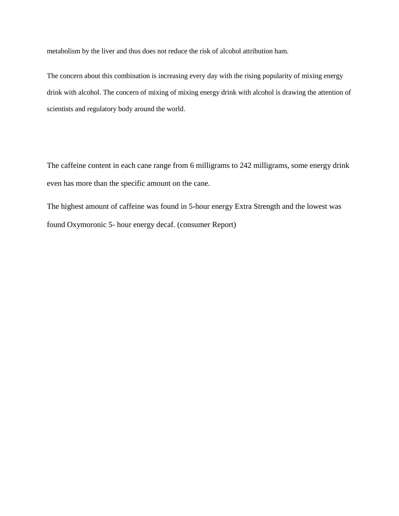metabolism by the liver and thus does not reduce the risk of alcohol attribution ham.

The concern about this combination is increasing every day with the rising popularity of mixing energy drink with alcohol. The concern of mixing of mixing energy drink with alcohol is drawing the attention of scientists and regulatory body around the world.

The caffeine content in each cane range from 6 milligrams to 242 milligrams, some energy drink even has more than the specific amount on the cane.

The highest amount of caffeine was found in 5-hour energy Extra Strength and the lowest was found Oxymoronic 5- hour energy decaf. (consumer Report)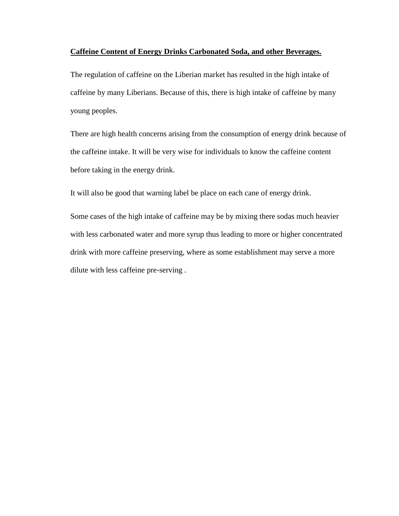#### **Caffeine Content of Energy Drinks Carbonated Soda, and other Beverages.**

The regulation of caffeine on the Liberian market has resulted in the high intake of caffeine by many Liberians. Because of this, there is high intake of caffeine by many young peoples.

There are high health concerns arising from the consumption of energy drink because of the caffeine intake. It will be very wise for individuals to know the caffeine content before taking in the energy drink.

It will also be good that warning label be place on each cane of energy drink.

Some cases of the high intake of caffeine may be by mixing there sodas much heavier with less carbonated water and more syrup thus leading to more or higher concentrated drink with more caffeine preserving, where as some establishment may serve a more dilute with less caffeine pre-serving .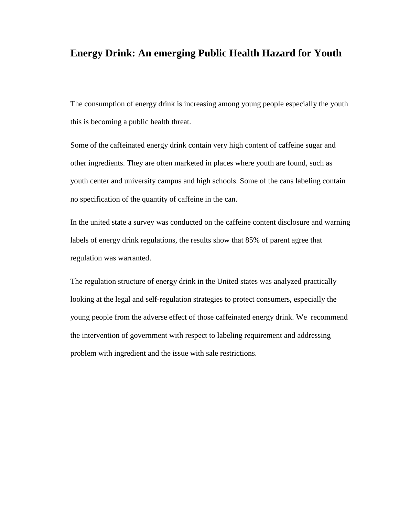## **Energy Drink: An emerging Public Health Hazard for Youth**

The consumption of energy drink is increasing among young people especially the youth this is becoming a public health threat.

Some of the caffeinated energy drink contain very high content of caffeine sugar and other ingredients. They are often marketed in places where youth are found, such as youth center and university campus and high schools. Some of the cans labeling contain no specification of the quantity of caffeine in the can.

In the united state a survey was conducted on the caffeine content disclosure and warning labels of energy drink regulations, the results show that 85% of parent agree that regulation was warranted.

The regulation structure of energy drink in the United states was analyzed practically looking at the legal and self-regulation strategies to protect consumers, especially the young people from the adverse effect of those caffeinated energy drink. We recommend the intervention of government with respect to labeling requirement and addressing problem with ingredient and the issue with sale restrictions.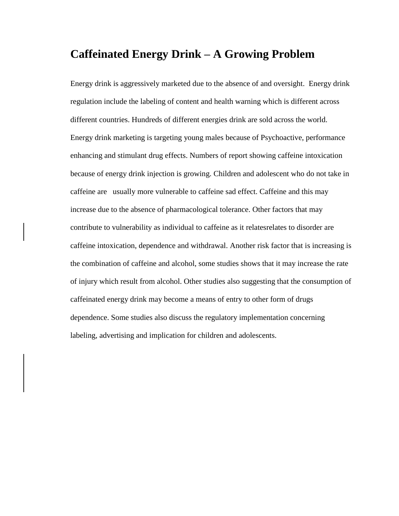## **Caffeinated Energy Drink – A Growing Problem**

Energy drink is aggressively marketed due to the absence of and oversight. Energy drink regulation include the labeling of content and health warning which is different across different countries. Hundreds of different energies drink are sold across the world. Energy drink marketing is targeting young males because of Psychoactive, performance enhancing and stimulant drug effects. Numbers of report showing caffeine intoxication because of energy drink injection is growing. Children and adolescent who do not take in caffeine are usually more vulnerable to caffeine sad effect. Caffeine and this may increase due to the absence of pharmacological tolerance. Other factors that may contribute to vulnerability as individual to caffeine as it relatesrelates to disorder are caffeine intoxication, dependence and withdrawal. Another risk factor that is increasing is the combination of caffeine and alcohol, some studies shows that it may increase the rate of injury which result from alcohol. Other studies also suggesting that the consumption of caffeinated energy drink may become a means of entry to other form of drugs dependence. Some studies also discuss the regulatory implementation concerning labeling, advertising and implication for children and adolescents.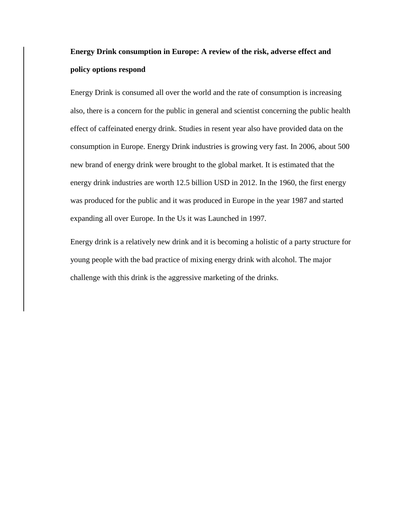## **Energy Drink consumption in Europe: A review of the risk, adverse effect and policy options respond**

Energy Drink is consumed all over the world and the rate of consumption is increasing also, there is a concern for the public in general and scientist concerning the public health effect of caffeinated energy drink. Studies in resent year also have provided data on the consumption in Europe. Energy Drink industries is growing very fast. In 2006, about 500 new brand of energy drink were brought to the global market. It is estimated that the energy drink industries are worth 12.5 billion USD in 2012. In the 1960, the first energy was produced for the public and it was produced in Europe in the year 1987 and started expanding all over Europe. In the Us it was Launched in 1997.

Energy drink is a relatively new drink and it is becoming a holistic of a party structure for young people with the bad practice of mixing energy drink with alcohol. The major challenge with this drink is the aggressive marketing of the drinks.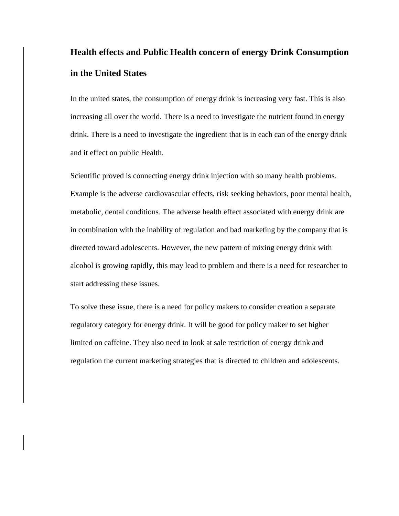## **Health effects and Public Health concern of energy Drink Consumption in the United States**

In the united states, the consumption of energy drink is increasing very fast. This is also increasing all over the world. There is a need to investigate the nutrient found in energy drink. There is a need to investigate the ingredient that is in each can of the energy drink and it effect on public Health.

Scientific proved is connecting energy drink injection with so many health problems. Example is the adverse cardiovascular effects, risk seeking behaviors, poor mental health, metabolic, dental conditions. The adverse health effect associated with energy drink are in combination with the inability of regulation and bad marketing by the company that is directed toward adolescents. However, the new pattern of mixing energy drink with alcohol is growing rapidly, this may lead to problem and there is a need for researcher to start addressing these issues.

To solve these issue, there is a need for policy makers to consider creation a separate regulatory category for energy drink. It will be good for policy maker to set higher limited on caffeine. They also need to look at sale restriction of energy drink and regulation the current marketing strategies that is directed to children and adolescents.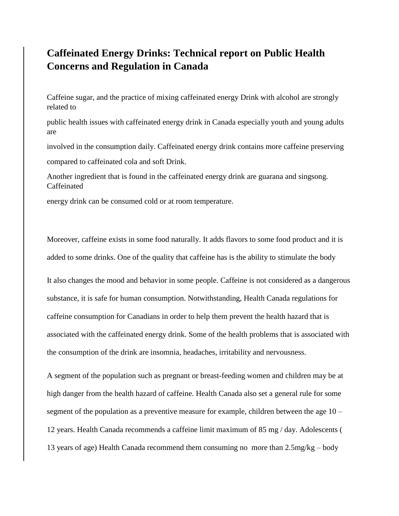## **Caffeinated Energy Drinks: Technical report on Public Health Concerns and Regulation in Canada**

Caffeine sugar, and the practice of mixing caffeinated energy Drink with alcohol are strongly related to

public health issues with caffeinated energy drink in Canada especially youth and young adults are

involved in the consumption daily. Caffeinated energy drink contains more caffeine preserving compared to caffeinated cola and soft Drink.

Another ingredient that is found in the caffeinated energy drink are guarana and singsong. Caffeinated

energy drink can be consumed cold or at room temperature.

Moreover, caffeine exists in some food naturally. It adds flavors to some food product and it is added to some drinks. One of the quality that caffeine has is the ability to stimulate the body

It also changes the mood and behavior in some people. Caffeine is not considered as a dangerous substance, it is safe for human consumption. Notwithstanding, Health Canada regulations for caffeine consumption for Canadians in order to help them prevent the health hazard that is associated with the caffeinated energy drink. Some of the health problems that is associated with the consumption of the drink are insomnia, headaches, irritability and nervousness.

A segment of the population such as pregnant or breast-feeding women and children may be at high danger from the health hazard of caffeine. Health Canada also set a general rule for some segment of the population as a preventive measure for example, children between the age  $10 -$ 12 years. Health Canada recommends a caffeine limit maximum of 85 mg / day. Adolescents ( 13 years of age) Health Canada recommend them consuming no more than 2.5mg/kg – body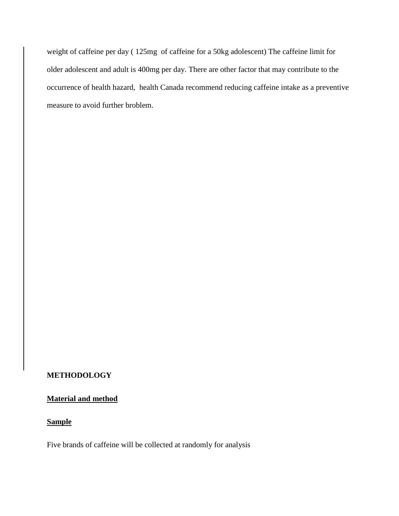weight of caffeine per day ( 125mg of caffeine for a 50kg adolescent) The caffeine limit for older adolescent and adult is 400mg per day. There are other factor that may contribute to the occurrence of health hazard, health Canada recommend reducing caffeine intake as a preventive measure to avoid further broblem.

#### **METHODOLOGY**

#### **Material and method**

#### **Sample**

Five brands of caffeine will be collected at randomly for analysis